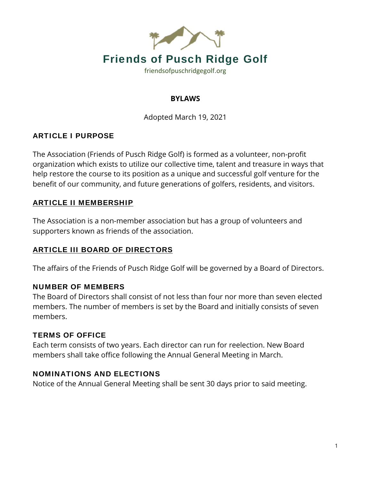

#### **BYLAWS**

Adopted March 19, 2021

## ARTICLE I PURPOSE

The Association (Friends of Pusch Ridge Golf) is formed as a volunteer, non-profit organization which exists to utilize our collective time, talent and treasure in ways that help restore the course to its position as a unique and successful golf venture for the benefit of our community, and future generations of golfers, residents, and visitors.

## ARTICLE II MEMBERSHIP

The Association is a non-member association but has a group of volunteers and supporters known as friends of the association.

## ARTICLE III BOARD OF DIRECTORS

The affairs of the Friends of Pusch Ridge Golf will be governed by a Board of Directors.

## NUMBER OF MEMBERS

The Board of Directors shall consist of not less than four nor more than seven elected members. The number of members is set by the Board and initially consists of seven members.

## TERMS OF OFFICE

Each term consists of two years. Each director can run for reelection. New Board members shall take office following the Annual General Meeting in March.

## NOMINATIONS AND ELECTIONS

Notice of the Annual General Meeting shall be sent 30 days prior to said meeting.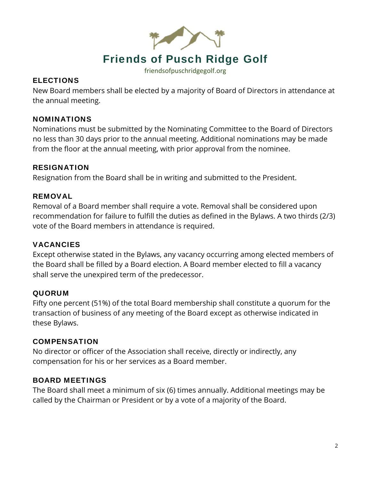

#### ELECTIONS

New Board members shall be elected by a majority of Board of Directors in attendance at the annual meeting.

#### NOMINATIONS

Nominations must be submitted by the Nominating Committee to the Board of Directors no less than 30 days prior to the annual meeting. Additional nominations may be made from the floor at the annual meeting, with prior approval from the nominee.

## RESIGNATION

Resignation from the Board shall be in writing and submitted to the President.

## REMOVAL

Removal of a Board member shall require a vote. Removal shall be considered upon recommendation for failure to fulfill the duties as defined in the Bylaws. A two thirds (2/3) vote of the Board members in attendance is required.

#### VACANCIES

Except otherwise stated in the Bylaws, any vacancy occurring among elected members of the Board shall be filled by a Board election. A Board member elected to fill a vacancy shall serve the unexpired term of the predecessor.

## QUORUM

Fifty one percent (51%) of the total Board membership shall constitute a quorum for the transaction of business of any meeting of the Board except as otherwise indicated in these Bylaws.

## COMPENSATION

No director or officer of the Association shall receive, directly or indirectly, any compensation for his or her services as a Board member.

## BOARD MEETINGS

The Board shall meet a minimum of six (6) times annually. Additional meetings may be called by the Chairman or President or by a vote of a majority of the Board.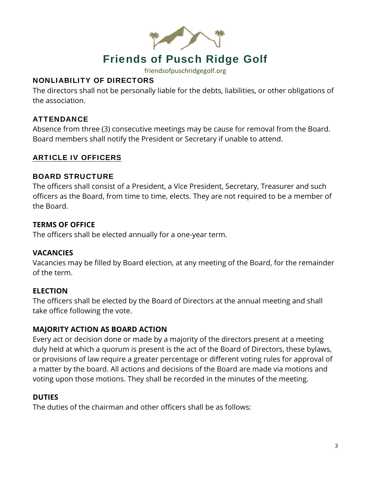

## Friends of Pusch Ridge Golf

friendsofpuschridgegolf.org

## NONLIABILITY OF DIRECTORS

The directors shall not be personally liable for the debts, liabilities, or other obligations of the association.

## ATTENDANCE

Absence from three (3) consecutive meetings may be cause for removal from the Board. Board members shall notify the President or Secretary if unable to attend.

## ARTICLE IV OFFICERS

## BOARD STRUCTURE

The officers shall consist of a President, a Vice President, Secretary, Treasurer and such officers as the Board, from time to time, elects. They are not required to be a member of the Board.

## **TERMS OF OFFICE**

The officers shall be elected annually for a one-year term.

## **VACANCIES**

Vacancies may be filled by Board election, at any meeting of the Board, for the remainder of the term.

## **ELECTION**

The officers shall be elected by the Board of Directors at the annual meeting and shall take office following the vote.

## **MAJORITY ACTION AS BOARD ACTION**

Every act or decision done or made by a majority of the directors present at a meeting duly held at which a quorum is present is the act of the Board of Directors, these bylaws, or provisions of law require a greater percentage or different voting rules for approval of a matter by the board. All actions and decisions of the Board are made via motions and voting upon those motions. They shall be recorded in the minutes of the meeting.

## **DUTIES**

The duties of the chairman and other officers shall be as follows: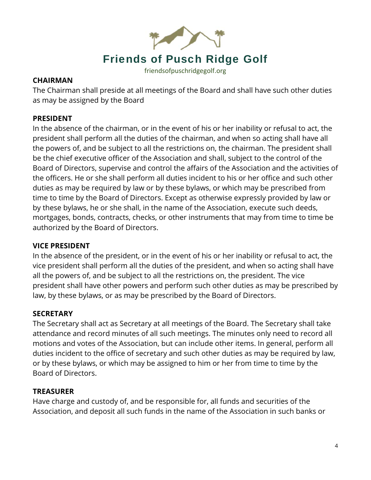

#### **CHAIRMAN**

The Chairman shall preside at all meetings of the Board and shall have such other duties as may be assigned by the Board

## **PRESIDENT**

In the absence of the chairman, or in the event of his or her inability or refusal to act, the president shall perform all the duties of the chairman, and when so acting shall have all the powers of, and be subject to all the restrictions on, the chairman. The president shall be the chief executive officer of the Association and shall, subject to the control of the Board of Directors, supervise and control the affairs of the Association and the activities of the officers. He or she shall perform all duties incident to his or her office and such other duties as may be required by law or by these bylaws, or which may be prescribed from time to time by the Board of Directors. Except as otherwise expressly provided by law or by these bylaws, he or she shall, in the name of the Association, execute such deeds, mortgages, bonds, contracts, checks, or other instruments that may from time to time be authorized by the Board of Directors.

## **VICE PRESIDENT**

In the absence of the president, or in the event of his or her inability or refusal to act, the vice president shall perform all the duties of the president, and when so acting shall have all the powers of, and be subject to all the restrictions on, the president. The vice president shall have other powers and perform such other duties as may be prescribed by law, by these bylaws, or as may be prescribed by the Board of Directors.

## **SECRETARY**

The Secretary shall act as Secretary at all meetings of the Board. The Secretary shall take attendance and record minutes of all such meetings. The minutes only need to record all motions and votes of the Association, but can include other items. In general, perform all duties incident to the office of secretary and such other duties as may be required by law, or by these bylaws, or which may be assigned to him or her from time to time by the Board of Directors.

## **TREASURER**

Have charge and custody of, and be responsible for, all funds and securities of the Association, and deposit all such funds in the name of the Association in such banks or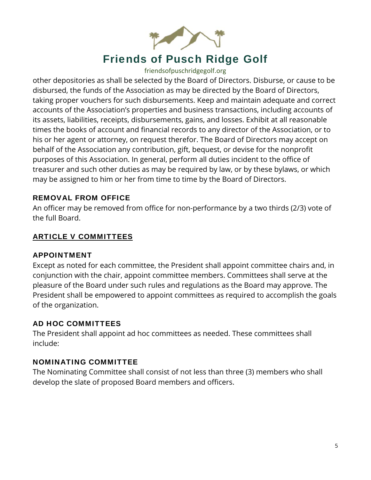

# Friends of Pusch Ridge Golf

friendsofpuschridgegolf.org

other depositories as shall be selected by the Board of Directors. Disburse, or cause to be disbursed, the funds of the Association as may be directed by the Board of Directors, taking proper vouchers for such disbursements. Keep and maintain adequate and correct accounts of the Association's properties and business transactions, including accounts of its assets, liabilities, receipts, disbursements, gains, and losses. Exhibit at all reasonable times the books of account and financial records to any director of the Association, or to his or her agent or attorney, on request therefor. The Board of Directors may accept on behalf of the Association any contribution, gift, bequest, or devise for the nonprofit purposes of this Association. In general, perform all duties incident to the office of treasurer and such other duties as may be required by law, or by these bylaws, or which may be assigned to him or her from time to time by the Board of Directors.

## REMOVAL FROM OFFICE

An officer may be removed from office for non-performance by a two thirds (2/3) vote of the full Board.

## ARTICLE V COMMITTEES

## APPOINTMENT

Except as noted for each committee, the President shall appoint committee chairs and, in conjunction with the chair, appoint committee members. Committees shall serve at the pleasure of the Board under such rules and regulations as the Board may approve. The President shall be empowered to appoint committees as required to accomplish the goals of the organization.

## AD HOC COMMITTEES

The President shall appoint ad hoc committees as needed. These committees shall include:

## NOMINATING COMMITTEE

The Nominating Committee shall consist of not less than three (3) members who shall develop the slate of proposed Board members and officers.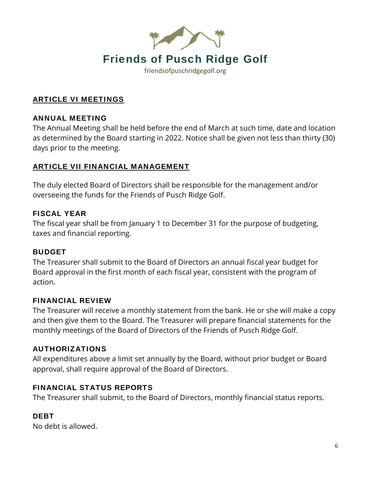

#### ARTICLE VI MEETINGS

#### ANNUAL MEETING

The Annual Meeting shall be held before the end of March at such time, date and location as determined by the Board starting in 2022. Notice shall be given not less than thirty (30) days prior to the meeting.

#### ARTICLE VII FINANCIAL MANAGEMENT

The duly elected Board of Directors shall be responsible for the management and/or overseeing the funds for the Friends of Pusch Ridge Golf.

#### FISCAL YEAR

The fiscal year shall be from January 1 to December 31 for the purpose of budgeting, taxes and financial reporting.

#### **BUDGET**

The Treasurer shall submit to the Board of Directors an annual fiscal year budget for Board approval in the first month of each fiscal year, consistent with the program of action.

#### FINANCIAL REVIEW

The Treasurer will receive a monthly statement from the bank. He or she will make a copy and then give them to the Board. The Treasurer will prepare financial statements for the monthly meetings of the Board of Directors of the Friends of Pusch Ridge Golf.

#### AUTHORIZATIONS

All expenditures above a limit set annually by the Board, without prior budget or Board approval, shall require approval of the Board of Directors.

#### FINANCIAL STATUS REPORTS

The Treasurer shall submit, to the Board of Directors, monthly financial status reports.

#### **DEBT**

No debt is allowed.